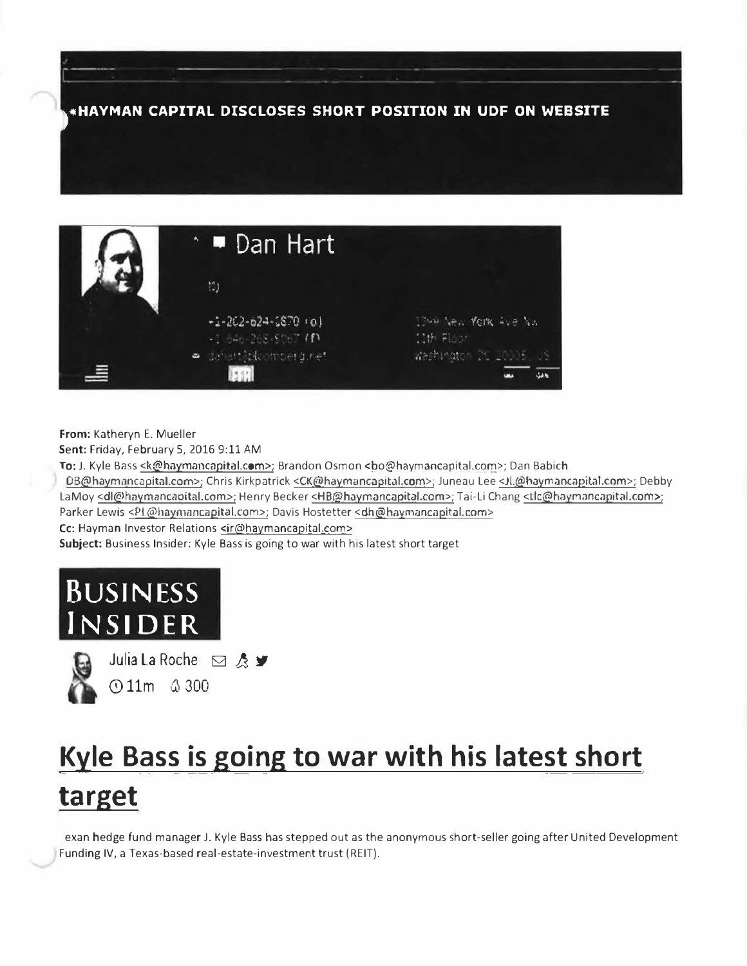**,.HAYMAN CAPITAL DISCLOSES SHORT POSITION IN UDF ON WEBSITE** 

|   | $\cdot$ $\blacksquare$ Dan Hart                   |                                       |
|---|---------------------------------------------------|---------------------------------------|
|   | 10)                                               |                                       |
|   | $-1 - 202 - 62 - 1870$ (e)<br>+1.646-2-5.5067 (f) | These vest York Ave No.<br>11th Floor |
| 트 | · anamatic moerginet                              | Weshington DC 20005, US               |

**From:** Katheryn E. Mueller **Sent:** Friday, February 5, 2016 9:11 AM To: J. Kyle Bass <k@haymancapital.com>; Brandon Osmon <br/>bo@haymancapital.com>; Dan Babich 0B@haymancapital.com>; Chris Kirkpatrick <CK@haymancapital.com>; Juneau Lee <Jl.@haymancapital.com>; Debby LaMoy <dl@haymancapital.com>; Henry Becker <HB@haymancapital.com>; Tai-Li Chang <Lic@haymancapital.com>; Parker Lewis <P1.@haymancapital.com>; Davis Hostetter <dh@haymancapital.com> Cc: Hayman Investor Relations <ir@haymancapital.com> **Subject:** Business Insider: Kyle Bass is going to war with his latest short target





Julia La Roche **ø** & <del></del> **011m � 300** 

## **Kyle Bass is going to war with his latest short target**

exan hedge fund manager J. Kyle Bass has stepped out as the anonymous short-seller going after United Development Funding IV, a Texas-based real-estate-investment trust ( REIT).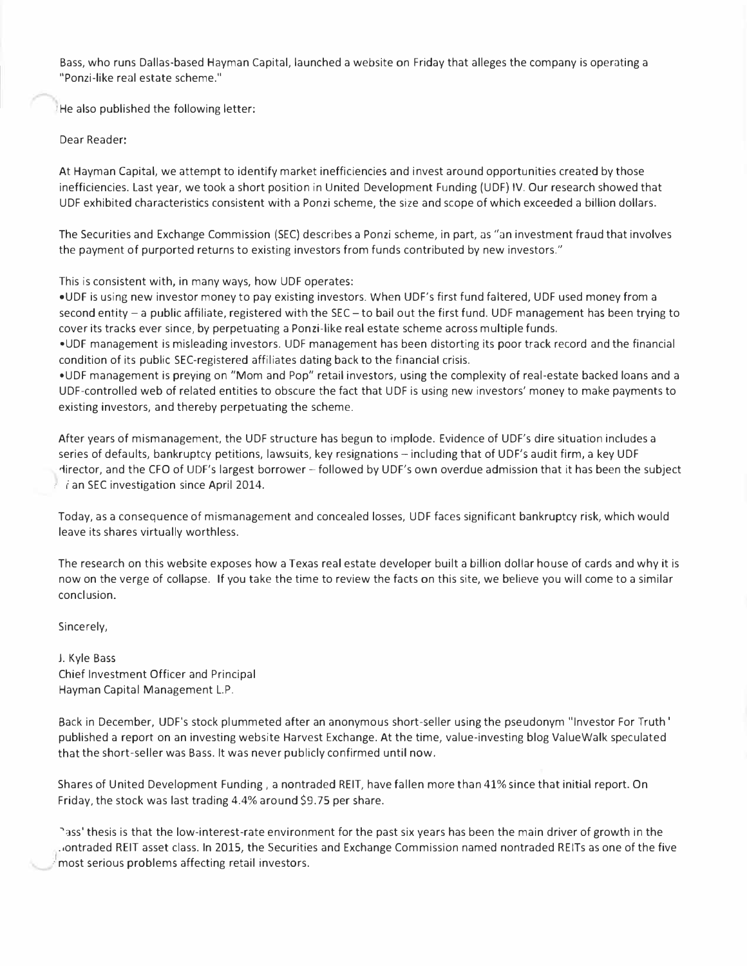Bass, who runs Dallas-based Hayman Capital, launched a website on Friday that alleges the company is operating a "Ponzi-like real estate scheme."

: He also published the following letter:

Dear Reader:

At Hayman Capital, we attempt to identify market inefficiencies and invest around opportunities created by those inefficiencies. Last year, we took a short position in United Development Funding (UDF) IV. Our research showed that UDF exhibited characteristics consistent with a Ponzi scheme, the size and scope of which exceeded a billion dollars.

The Securities and Exchange Commission (SEC) describes a Ponzi scheme, in part, as "an investment fraud that involves the payment of purported returns to existing investors from funds contributed by new investors."

This is consistent with, in many ways, how UDF operates:

•UDF is using new investor money to pay existing investors. When UDF's first fund faltered, UDF used money from a second entity  $-$  a public affiliate, registered with the SEC  $-$  to bail out the first fund. UDF management has been trying to cover its tracks ever since, by perpetuating a Ponzi-like real estate scheme across multiple funds.

•UDF management is misleading investors. UDF management has been distorting its poor track record and the financial condition of its public SEC-registered affiliates dating back to the financial crisis.

•UDF management is preying on "Mom and Pop" retail investors, using the complexity of real-estate backed loans and a UDF-controlled web of related entities to obscure the fact that UDF is using new investors' money to make payments to existing investors, and thereby perpetuating the scheme.

After years of mismanagement, the UDF structure has begun to implode. Evidence of UDF's dire situation includes a series of defaults, bankruptcy petitions, lawsuits, key resignations - including that of UDF's audit firm, a key UDF rlirector, and the CFO of UDF's largest borrower - followed by UDF's own overdue admission that it has been the subject tian SEC investigation since April 2014.

Today, as a consequence of mismanagement and concealed losses, UDF faces significant bankruptcy risk, which would leave its shares virtually worthless.

The research on this website exposes how a Texas real estate developer built a billion dollar house of cards and why it is now on the verge of collapse. If you take the time to review the facts on this site, we believe you will come to a similar conclusion.

Sincerely,

J. Kyle Bass Chief Investment Officer and Principal Hayman Capital Management L.P.

Back in December, UDF's stock plummeted after an anonymous short-seller using the pseudonym "Investor For Truth' published a report on an investing website Harvest Exchange. At the time, value-investing blog ValueWalk speculated that the short-seller was Bass. It was never publicly confirmed until now.

Shares of United Development Funding, a nontraded REIT, have fallen more than 41% since that initial report. On Friday, the stock was last trading 4.4% around \$9.75 per share.

hass' thesis is that the low-interest-rate environment for the past six years has been the main driver of growth in the ( · most serious problems affecting retail investors.ontraded REIT asset class. In 2015, the Securities and Exchange Commission named nontraded REITs as one of the five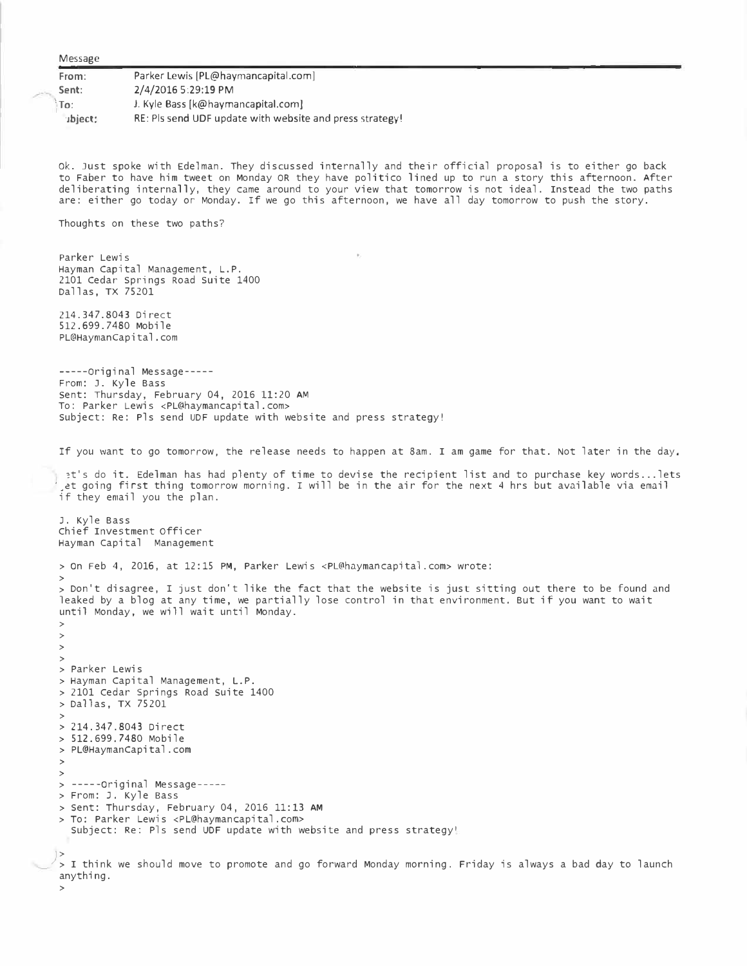Message

**From: Sent:**   $\mathsf{In}$ : **·ibject:** Parker Lewis [[PL@haymancapital.com\]](mailto:PL@haymancapital.com) 2/4/2016 5:29:19 PM J. Kyle Bass [k@haymancapital.com] RE: Pis send UDF update with website and press strategy!

ok. Just spoke with Edelman. They discussed internally and their official proposal is to either go back to Faber to have him tweet on Monday OR they have politico lined up to run a story this afternoon. After deliberating internally, they came around to your view that tomorrow is not ideal. Instead the two paths are: either go today or Monday. If we go this afternoon, we have all day tomorrow to push the story.

Thoughts on these two paths?

Parker Lewis Hayman Capital Management, L.P. 2101 Cedar Springs Road Suite 1400 Dallas, TX 75201

214.347.8043 Direct 512.699.7480 Mobile PL@Haymancapital.com

-----Original Message---- From: J. Kyle Bass sent: Thursday, February 04, 2016 11:20 **AM** To: Parker Lewis <PL@haymancapital.com> subject: Re: Pls send UDF update with website and press strategy!

If you want to go tomorrow, the release needs to happen at 8am. I am game for that. Not later in the day,

t's do it. Edelman has had plenty of time to devise the recipient list and to purchase key words... lets et going first thing tomorrow morning. I will be in the air for the next 4 hrs but available via email if they email you the plan.

J. Kyle Bass chief Investment officer Hayman Capital Management

> On Feb 4, 2016, at 12:15 PM, Parker Lewis <PL@haymancapital.com> wrote:

> > Don't disagree, I just don't like the fact that the website is just sitting out there to be found and leaked by a blog at any time, we partially lose control in that environment. But if you want to wait until Monday, we will wait until Monday.

> > > > > Parker Lewis > Hayman Capital Management, L.P. > 2101 cedar Springs Road suite 1400 > Dallas, TX 75201 > > 214.347.8043 Direct > 512.699.7480 Mobile > PL@HaymanCapital.com > > > -----original Message---- > From: J. Kyle Bass > sent: Thursday, February 04, 2016 11:13 **AM** > To: Parker Lewis <PL@haymancapital.com> Subject: Re: Pls send UDF update with website and press strategy!

*)>*  ·>I think we should move to promote and go forward Monday morning, Friday is always a bad day to launch anything.

>